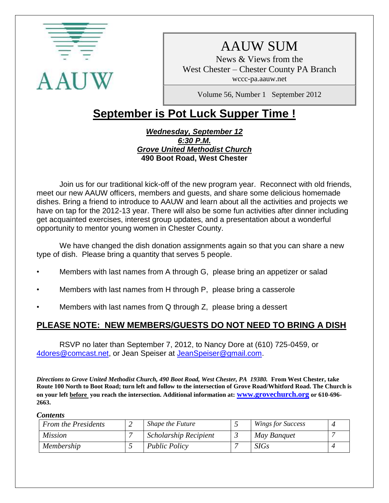

# AAUW SUM

News & Views from the West Chester – Chester County PA Branch wccc-pa.aauw.net

Volume 56, Number 1 September 2012

# **September is Pot Luck Supper Time !**

#### *Wednesday, September 12 6:30 P.M. Grove United Methodist Church* **490 Boot Road, West Chester**

Join us for our traditional kick-off of the new program year. Reconnect with old friends, meet our new AAUW officers, members and guests, and share some delicious homemade dishes. Bring a friend to introduce to AAUW and learn about all the activities and projects we have on tap for the 2012-13 year. There will also be some fun activities after dinner including get acquainted exercises, interest group updates, and a presentation about a wonderful opportunity to mentor young women in Chester County.

We have changed the dish donation assignments again so that you can share a new type of dish. Please bring a quantity that serves 5 people.

- Members with last names from A through G, please bring an appetizer or salad
- Members with last names from H through P, please bring a casserole
- Members with last names from Q through Z, please bring a dessert

# **PLEASE NOTE: NEW MEMBERS/GUESTS DO NOT NEED TO BRING A DISH**

RSVP no later than September 7, 2012, to Nancy Dore at (610) 725-0459, or [4dores@comcast.net,](mailto:4dores@comcast.net) or Jean Speiser at [JeanSpeiser@gmail.com.](mailto:JeanSpeiser@gmail.com)

*Directions to Grove United Methodist Church, 490 Boot Road, West Chester, PA 19380.* **From West Chester, take Route 100 North to Boot Road; turn left and follow to the intersection of Grove Road/Whitford Road. The Church is on your left before you reach the intersection. Additional information at: [www.grovechurch.org](http://www.grovechurch.org/) or 610-696- 2663.** 

#### *Contents*

| <b>From the Presidents</b> | Shape the Future      | <b>Wings for Success</b> |  |
|----------------------------|-----------------------|--------------------------|--|
| <i>Mission</i>             | Scholarship Recipient | May Banquet              |  |
| Membership                 | <b>Public Policy</b>  | <i>SIGs</i>              |  |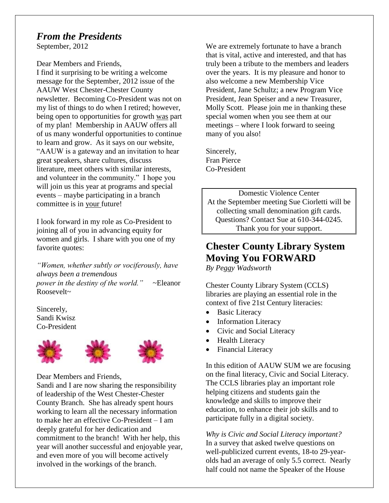# *From the Presidents*

September, 2012

Dear Members and Friends,

I find it surprising to be writing a welcome message for the September, 2012 issue of the AAUW West Chester-Chester County newsletter. Becoming Co-President was not on my list of things to do when I retired; however, being open to opportunities for growth was part of my plan! Membership in AAUW offers all of us many wonderful opportunities to continue to learn and grow. As it says on our website, "AAUW is a gateway and an invitation to hear great speakers, share cultures, discuss literature, meet others with similar interests, and volunteer in the community." I hope you will join us this year at programs and special events – maybe participating in a branch committee is in your future!

I look forward in my role as Co-President to joining all of you in advancing equity for women and girls. I share with you one of my favorite quotes:

*"Women, whether subtly or vociferously, have always been a tremendous power in the destiny of the world."* ~Eleanor Roosevelt~

Sincerely, Sandi Kwisz Co-President





Dear Members and Friends,

Sandi and I are now sharing the responsibility of leadership of the West Chester-Chester County Branch. She has already spent hours working to learn all the necessary information to make her an effective Co-President – I am deeply grateful for her dedication and commitment to the branch! With her help, this year will another successful and enjoyable year, and even more of you will become actively involved in the workings of the branch.

We are extremely fortunate to have a branch that is vital, active and interested, and that has truly been a tribute to the members and leaders over the years. It is my pleasure and honor to also welcome a new Membership Vice President, Jane Schultz; a new Program Vice President, Jean Speiser and a new Treasurer, Molly Scott. Please join me in thanking these special women when you see them at our meetings – where I look forward to seeing many of you also!

Sincerely, Fran Pierce Co-President

Domestic Violence Center At the September meeting Sue Ciorletti will be collecting small denomination gift cards. Questions? Contact Sue at 610-344-0245. Thank you for your support.

# **Chester County Library System Moving You FORWARD**

*By Peggy Wadsworth*

Chester County Library System (CCLS) libraries are playing an essential role in the context of five 21st Century literacies:

- Basic Literacy
- Information Literacy
- Civic and Social Literacy
- Health Literacy
- Financial Literacy

In this edition of AAUW SUM we are focusing on the final literacy, Civic and Social Literacy. The CCLS libraries play an important role helping citizens and students gain the knowledge and skills to improve their education, to enhance their job skills and to participate fully in a digital society.

*Why is Civic and Social Literacy important?*  In a survey that asked twelve questions on well-publicized current events, 18-to 29-yearolds had an average of only 5.5 correct. Nearly half could not name the Speaker of the House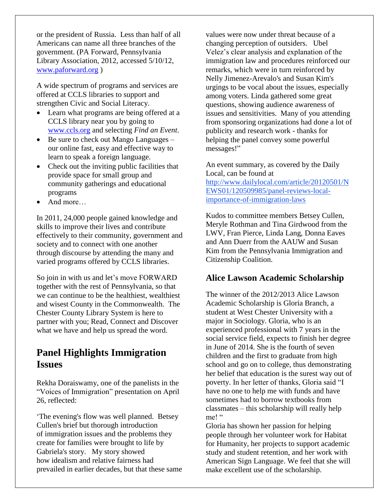or the president of Russia. Less than half of all Americans can name all three branches of the government. (PA Forward, Pennsylvania Library Association, 2012, accessed 5/10/12, [www.paforward.org](http://www.paforward.org/) )

A wide spectrum of programs and services are offered at CCLS libraries to support and strengthen Civic and Social Literacy.

- Learn what programs are being offered at a CCLS library near you by going to [www.ccls.org](http://www.ccls.org/) and selecting *Find an Event*.
- Be sure to check out Mango Languages our online fast, easy and effective way to learn to speak a foreign language.
- Check out the inviting public facilities that provide space for small group and community gatherings and educational programs
- And more…

In 2011, 24,000 people gained knowledge and skills to improve their lives and contribute effectively to their community, government and society and to connect with one another through discourse by attending the many and varied programs offered by CCLS libraries.

So join in with us and let's move FORWARD together with the rest of Pennsylvania, so that we can continue to be the healthiest, wealthiest and wisest County in the Commonwealth. The Chester County Library System is here to partner with you; Read, Connect and Discover what we have and help us spread the word.

# **Panel Highlights Immigration Issues**

Rekha Doraiswamy, one of the panelists in the "Voices of Immigration" presentation on April 26, reflected:

'The evening's flow was well planned. Betsey Cullen's brief but thorough introduction of immigration issues and the problems they create for families were brought to life by Gabriela's story. My story showed how idealism and relative fairness had prevailed in earlier decades, but that these same values were now under threat because of a changing perception of outsiders. Ubel Velez's clear analysis and explanation of the immigration law and procedures reinforced our remarks, which were in turn reinforced by Nelly Jimenez-Arevalo's and Susan Kim's urgings to be vocal about the issues, especially among voters. Linda gathered some great questions, showing audience awareness of issues and sensitivities. Many of you attending from sponsoring organizations had done a lot of publicity and research work - thanks for helping the panel convey some powerful messages!"

An event summary, as covered by the Daily Local, can be found at [http://www.dailylocal.com/article/20120501/N](http://www.dailylocal.com/article/20120501/NEWS01/120509985/panel-reviews-local-importance-of-immigration-laws) [EWS01/120509985/panel-reviews-local](http://www.dailylocal.com/article/20120501/NEWS01/120509985/panel-reviews-local-importance-of-immigration-laws)[importance-of-immigration-laws](http://www.dailylocal.com/article/20120501/NEWS01/120509985/panel-reviews-local-importance-of-immigration-laws)

Kudos to committee members Betsey Cullen, Meryle Rothman and Tina Girdwood from the LWV, Fran Pierce, Linda Lang, Donna Eaves and Ann Duerr from the AAUW and Susan Kim from the Pennsylvania Immigration and Citizenship Coalition.

## **Alice Lawson Academic Scholarship**

The winner of the 2012/2013 Alice Lawson Academic Scholarship is Gloria Branch, a student at West Chester University with a major in Sociology. Gloria, who is an experienced professional with 7 years in the social service field, expects to finish her degree in June of 2014. She is the fourth of seven children and the first to graduate from high school and go on to college, thus demonstrating her belief that education is the surest way out of poverty. In her letter of thanks, Gloria said "I have no one to help me with funds and have sometimes had to borrow textbooks from classmates – this scholarship will really help me!"

Gloria has shown her passion for helping people through her volunteer work for Habitat for Humanity, her projects to support academic study and student retention, and her work with American Sign Language. We feel that she will make excellent use of the scholarship.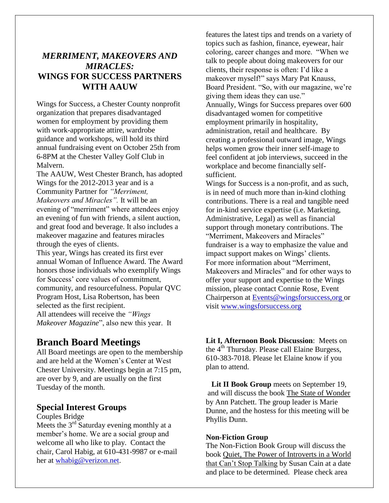# *MERRIMENT, MAKEOVERS AND MIRACLES:*  **WINGS FOR SUCCESS PARTNERS WITH AAUW**

Wings for Success, a Chester County nonprofit organization that prepares disadvantaged women for employment by providing them with work-appropriate attire, wardrobe guidance and workshops, will hold its third annual fundraising event on October 25th from 6-8PM at the Chester Valley Golf Club in Malvern.

The AAUW, West Chester Branch, has adopted Wings for the 2012-2013 year and is a Community Partner for *"Merriment, Makeovers and Miracles".* It will be an evening of "merriment" where attendees enjoy an evening of fun with friends, a silent auction, and great food and beverage. It also includes a makeover magazine and features miracles through the eyes of clients.

This year, Wings has created its first ever annual Woman of Influence Award. The Award honors those individuals who exemplify Wings for Success' core values of commitment, community, and resourcefulness. Popular QVC Program Host, Lisa Robertson, has been selected as the first recipient. All attendees will receive the *"Wings Makeover Magazine*", also new this year. It

# **Branch Board Meetings**

All Board meetings are open to the membership and are held at the Women's Center at West Chester University. Meetings begin at 7:15 pm, are over by 9, and are usually on the first Tuesday of the month.

#### **Special Interest Groups**

#### Couples Bridge

Meets the  $3<sup>rd</sup>$  Saturday evening monthly at a member's home. We are a social group and welcome all who like to play. Contact the chair, Carol Habig, at 610-431-9987 or e-mail her at [whabig@verizon.net.](mailto:whabig@verizon.net)

features the latest tips and trends on a variety of topics such as fashion, finance, eyewear, hair coloring, career changes and more. "When we talk to people about doing makeovers for our clients, their response is often: I'd like a makeover myself!" says Mary Pat Knauss, Board President. "So, with our magazine, we're giving them ideas they can use." Annually, Wings for Success prepares over 600 disadvantaged women for competitive employment primarily in hospitality, administration, retail and healthcare. By creating a professional outward image, Wings helps women grow their inner self-image to feel confident at job interviews, succeed in the workplace and become financially selfsufficient.

Wings for Success is a non-profit, and as such, is in need of much more than in-kind clothing contributions. There is a real and tangible need for in-kind service expertise (i.e. Marketing, Administrative, Legal) as well as financial support through monetary contributions. The "Merriment, Makeovers and Miracles" fundraiser is a way to emphasize the value and impact support makes on Wings' clients. For more information about "Merriment, Makeovers and Miracles" and for other ways to offer your support and expertise to the Wings mission, please contact Connie Rose, Event Chairperson at [Events@wingsforsuccess,org](http://Events@wingsforsuccess,org/) or visit [www.wingsforsuccess.org](http://www.wingsforsuccess.org/)

**Lit I, Afternoon Book Discussion**: Meets on the 4<sup>th</sup> Thursday. Please call Elaine Burgess, 610-383-7018. Please let Elaine know if you plan to attend.

Lit II Book Group meets on September 19, and will discuss the book The State of Wonder by Ann Patchett. The group leader is Marie Dunne, and the hostess for this meeting will be Phyllis Dunn.

#### **Non-Fiction Group**

The Non-Fiction Book Group will discuss the book Quiet, The Power of Introverts in a World that Can't Stop Talking by Susan Cain at a date and place to be determined. Please check area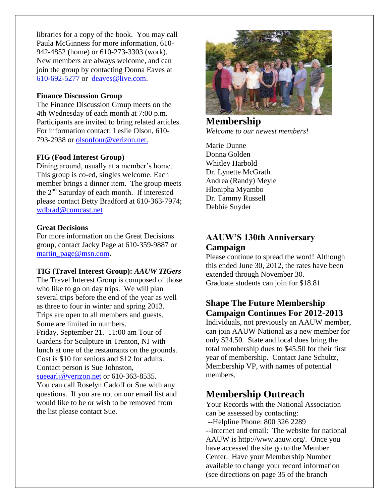libraries for a copy of the book. You may call Paula McGinness for more information, 610- 942-4852 (home) or 610-273-3303 (work). New members are always welcome, and can join the group by contacting Donna Eaves at [610-692-5277](tel:/610-692-5277) or [deaves@live.com.](mailto:deaves@live.com)

#### **Finance Discussion Group**

The Finance Discussion Group meets on the 4th Wednesday of each month at 7:00 p.m. Participants are invited to bring related articles. For information contact: Leslie Olson, 610- 793-2938 or olsonfour@verizon.net.

#### **FIG (Food Interest Group)**

Dining around, usually at a member's home. This group is co-ed, singles welcome. Each member brings a dinner item. The group meets the 2<sup>nd</sup> Saturday of each month. If interested please contact Betty Bradford at 610-363-7974; [wdbrad@comcast.net](mailto:wdbrad@comcast.net) 

#### **Great Decisions**

For more information on the Great Decisions group, contact Jacky Page at 610-359-9887 or [martin\\_page@msn.com.](mailto:martin_page@msn.com)

#### **TIG (Travel Interest Group):** *AAUW TIGers*

The Travel Interest Group is composed of those who like to go on day trips. We will plan several trips before the end of the year as well as three to four in winter and spring 2013. Trips are open to all members and guests. Some are limited in numbers. Friday, September 21. 11:00 am Tour of Gardens for Sculpture in Trenton, NJ with lunch at one of the restaurants on the grounds. Cost is \$10 for seniors and \$12 for adults. Contact person is Sue Johnston, [sueearlj@verizon.net](mailto:sueearlj@verizon.net) or 610-363-8535.

You can call Roselyn Cadoff or Sue with any questions. If you are not on our email list and would like to be or wish to be removed from the list please contact Sue.



**Membership** *Welcome to our newest members!*

Marie Dunne Donna Golden Whitley Harbold Dr. Lynette McGrath Andrea (Randy) Meyle Hlonipha Myambo Dr. Tammy Russell Debbie Snyder

# **AAUW'S 130th Anniversary Campaign**

Please continue to spread the word! Although this ended June 30, 2012, the rates have been extended through November 30. Graduate students can join for \$18.81

# **Shape The Future Membership Campaign Continues For 2012-2013**

Individuals, not previously an AAUW member, can join AAUW National as a new member for only \$24.50. State and local dues bring the total membership dues to \$45.50 for their first year of membership. Contact Jane Schultz, Membership VP, with names of potential members.

# **Membership Outreach**

Your Records with the National Association can be assessed by contacting: --Helpline Phone: 800 326 2289 --Internet and email: The website for national AAUW is http://www.aauw.org/. Once you have accessed the site go to the Member Center. Have your Membership Number available to change your record information (see directions on page 35 of the branch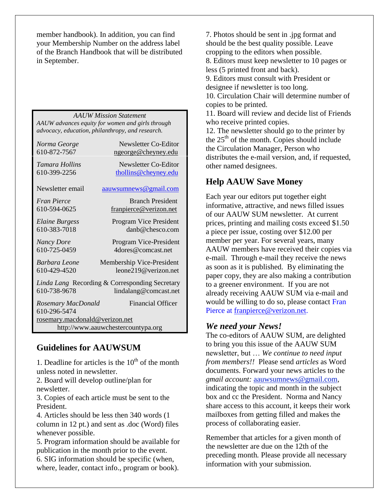member handbook). In addition, you can find your Membership Number on the address label of the Branch Handbook that will be distributed in September.

*AAUW Mission Statement AAUW advances equity for women and girls through advocacy, education, philanthropy, and research.*

| Norma George                                                                            | Newsletter Co-Editor      |  |  |  |
|-----------------------------------------------------------------------------------------|---------------------------|--|--|--|
| 610-872-7567                                                                            | ngeorge@cheyney.edu       |  |  |  |
| Tamara Hollins                                                                          | Newsletter Co-Editor      |  |  |  |
| 610-399-2256                                                                            | thollins@cheyney.edu      |  |  |  |
| Newsletter email                                                                        | aauwsumnews@gmail.com     |  |  |  |
| <i>Fran Pierce</i>                                                                      | <b>Branch President</b>   |  |  |  |
| 610-594-0625                                                                            | franpierce@verizon.net    |  |  |  |
| Elaine Burgess                                                                          | Program Vice President    |  |  |  |
| 610-383-7018                                                                            | $danh@chesc$ com          |  |  |  |
| <b>Nancy Dore</b>                                                                       | Program Vice-President    |  |  |  |
| 610-725-0459                                                                            | 4 dores @comcast.net      |  |  |  |
| Barbara Leone                                                                           | Membership Vice-President |  |  |  |
| 610-429-4520                                                                            | leone219@verizon.net      |  |  |  |
| Linda Lang Recording & Corresponding Secretary<br>610-738-9678<br>lindalang@comcast.net |                           |  |  |  |
| Rosemary MacDonald<br>610-296-5474                                                      | <b>Financial Officer</b>  |  |  |  |
| rosemary.macdonald@verizon.net                                                          |                           |  |  |  |
| http://www.aauwchestercountypa.org                                                      |                           |  |  |  |

# **Guidelines for AAUWSUM**

1. Deadline for articles is the  $10^{th}$  of the month unless noted in newsletter.

2. Board will develop outline/plan for newsletter.

3. Copies of each article must be sent to the President.

4. Articles should be less then 340 words (1 column in 12 pt.) and sent as .doc (Word) files whenever possible.

5. Program information should be available for publication in the month prior to the event. 6. SIG information should be specific (when, where, leader, contact info., program or book).

7. Photos should be sent in .jpg format and should be the best quality possible. Leave cropping to the editors when possible. 8. Editors must keep newsletter to 10 pages or less (5 printed front and back). 9. Editors must consult with President or designee if newsletter is too long.

10. Circulation Chair will determine number of copies to be printed.

11. Board will review and decide list of Friends who receive printed copies.

12. The newsletter should go to the printer by the  $25<sup>th</sup>$  of the month. Copies should include the Circulation Manager, Person who distributes the e-mail version, and, if requested, other named designees.

# **Help AAUW Save Money**

Each year our editors put together eight informative, attractive, and news filled issues of our AAUW SUM newsletter. At current prices, printing and mailing costs exceed \$1.50 a piece per issue, costing over \$12.00 per member per year. For several years, many AAUW members have received their copies via e-mail. Through e-mail they receive the news as soon as it is published. By eliminating the paper copy, they are also making a contribution to a greener environment. If you are not already receiving AAUW SUM via e-mail and would be willing to do so, please contact Fran Pierce at [franpierce@verizon.net.](mailto:franpierce@verizon.net)

## *We need your News!*

The co-editors of AAUW SUM, are delighted to bring you this issue of the AAUW SUM newsletter, but … *We continue to need input from members!!* Please send *articles* as Word documents. Forward your news articles to the *gmail account:* [aauwsumnews@gmail.com,](mailto:aauwsum@gmail.com) indicating the topic and month in the subject box and cc the President. Norma and Nancy share access to this account, it keeps their work mailboxes from getting filled and makes the process of collaborating easier.

Remember that articles for a given month of the newsletter are due on the 12th of the preceding month*.* Please provide all necessary information with your submission.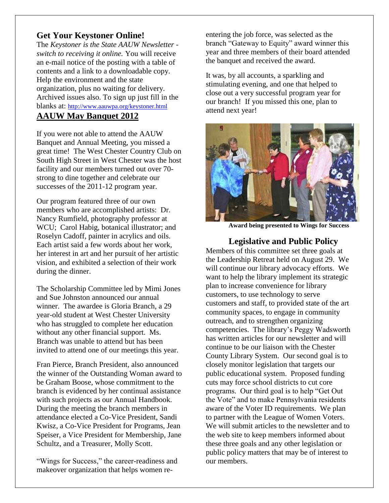# **Get Your Keystoner Online!**

The *Keystoner is the State AAUW Newsletter switch to receiving it online.* You will receive an e-mail notice of the posting with a table of contents and a link to a downloadable copy. Help the environment and the state organization, plus no waiting for delivery. Archived issues also. To sign up just fill in the blanks at: <http://www.aauwpa.org/keystoner.html> **AAUW May Banquet 2012**

If you were not able to attend the AAUW Banquet and Annual Meeting, you missed a great time! The West Chester Country Club on South High Street in West Chester was the host facility and our members turned out over 70 strong to dine together and celebrate our successes of the 2011-12 program year.

Our program featured three of our own members who are accomplished artists: Dr. Nancy Rumfield, photography professor at WCU; Carol Habig, botanical illustrator; and Roselyn Cadoff, painter in acrylics and oils. Each artist said a few words about her work, her interest in art and her pursuit of her artistic vision, and exhibited a selection of their work during the dinner.

The Scholarship Committee led by Mimi Jones and Sue Johnston announced our annual winner. The awardee is Gloria Branch, a 29 year-old student at West Chester University who has struggled to complete her education without any other financial support. Ms. Branch was unable to attend but has been invited to attend one of our meetings this year.

Fran Pierce, Branch President, also announced the winner of the Outstanding Woman award to be Graham Boose, whose commitment to the branch is evidenced by her continual assistance with such projects as our Annual Handbook. During the meeting the branch members in attendance elected a Co-Vice President, Sandi Kwisz, a Co-Vice President for Programs, Jean Speiser, a Vice President for Membership, Jane Schultz, and a Treasurer, Molly Scott.

"Wings for Success," the career-readiness and makeover organization that helps women reentering the job force, was selected as the branch "Gateway to Equity" award winner this year and three members of their board attended the banquet and received the award.

It was, by all accounts, a sparkling and stimulating evening, and one that helped to close out a very successful program year for our branch! If you missed this one, plan to attend next year!



**Award being presented to Wings for Success**

### **Legislative and Public Policy**

Members of this committee set three goals at the Leadership Retreat held on August 29. We will continue our library advocacy efforts. We want to help the library implement its strategic plan to increase convenience for library customers, to use technology to serve customers and staff, to provided state of the art community spaces, to engage in community outreach, and to strengthen organizing competencies. The library's Peggy Wadsworth has written articles for our newsletter and will continue to be our liaison with the Chester County Library System. Our second goal is to closely monitor legislation that targets our public educational system. Proposed funding cuts may force school districts to cut core programs. Our third goal is to help "Get Out the Vote" and to make Pennsylvania residents aware of the Voter ID requirements. We plan to partner with the League of Women Voters. We will submit articles to the newsletter and to the web site to keep members informed about these three goals and any other legislation or public policy matters that may be of interest to our members.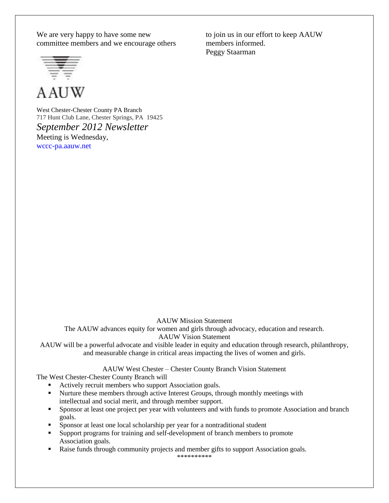We are very happy to have some new committee members and we encourage others

**A AUW** 

West Chester-Chester County PA Branch 717 Hunt Club Lane, Chester Springs, PA 19425 *September 2012 Newsletter* Meeting is Wednesday, wccc-pa.aauw.net

AAUW Mission Statement

The AAUW advances equity for women and girls through advocacy, education and research. AAUW Vision Statement

AAUW will be a powerful advocate and visible leader in equity and education through research, philanthropy, and measurable change in critical areas impacting the lives of women and girls.

AAUW West Chester – Chester County Branch Vision Statement

The West Chester-Chester County Branch will

- Actively recruit members who support Association goals.
- Nurture these members through active Interest Groups, through monthly meetings with intellectual and social merit, and through member support.
- Sponsor at least one project per year with volunteers and with funds to promote Association and branch goals.
- Sponsor at least one local scholarship per year for a nontraditional student
- Support programs for training and self-development of branch members to promote Association goals.
- **Raise funds through community projects and member gifts to support Association goals.**

\*\*\*\*\*\*\*\*\*\*

to join us in our effort to keep AAUW members informed. Peggy Staarman